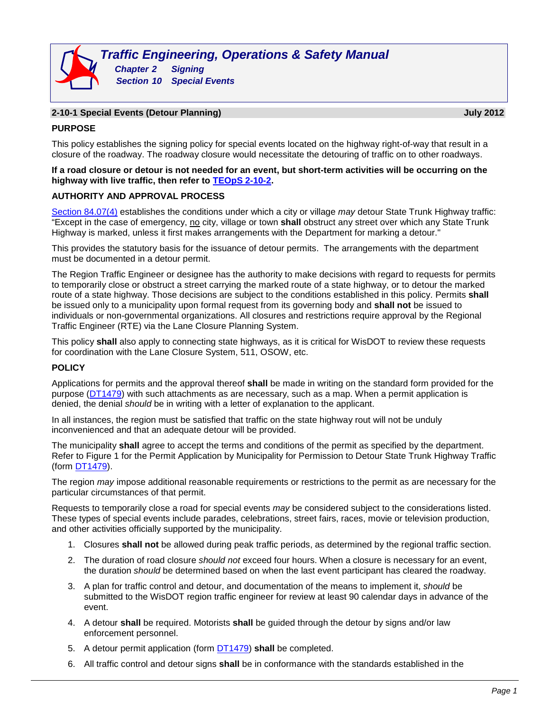### **2-10-1 Special Events (Detour Planning) July 2012**

### **PURPOSE**

This policy establishes the signing policy for special events located on the highway right-of-way that result in a closure of the roadway. The roadway closure would necessitate the detouring of traffic on to other roadways.

#### **If a road closure or detour is not needed for an event, but short-term activities will be occurring on the highway with live traffic, then refer to [TEOpS](http://wisconsindot.gov/dtsdManuals/traffic-ops/manuals-and-standards/teops/02-10.pdf) 2-10-2.**

### **AUTHORITY AND APPROVAL PROCESS**

[Section 84.07\(4\)](http://docs.legis.wisconsin.gov/statutes/statutes/84/07/4) establishes the conditions under which a city or village *may* detour State Trunk Highway traffic: "Except in the case of emergency, no city, village or town **shall** obstruct any street over which any State Trunk Highway is marked, unless it first makes arrangements with the Department for marking a detour."

This provides the statutory basis for the issuance of detour permits. The arrangements with the department must be documented in a detour permit.

The Region Traffic Engineer or designee has the authority to make decisions with regard to requests for permits to temporarily close or obstruct a street carrying the marked route of a state highway, or to detour the marked route of a state highway. Those decisions are subject to the conditions established in this policy. Permits **shall** be issued only to a municipality upon formal request from its governing body and **shall not** be issued to individuals or non-governmental organizations. All closures and restrictions require approval by the Regional Traffic Engineer (RTE) via the Lane Closure Planning System.

This policy **shall** also apply to connecting state highways, as it is critical for WisDOT to review these requests for coordination with the Lane Closure System, 511, OSOW, etc.

### **POLICY**

Applications for permits and the approval thereof **shall** be made in writing on the standard form provided for the purpose [\(DT1479\)](http://wisconsindot.gov/Documents/formdocs/dt1479.doc) with such attachments as are necessary, such as a map. When a permit application is denied, the denial *should* be in writing with a letter of explanation to the applicant.

In all instances, the region must be satisfied that traffic on the state highway rout will not be unduly inconvenienced and that an adequate detour will be provided.

The municipality **shall** agree to accept the terms and conditions of the permit as specified by the department. Refer to Figure 1 for the Permit Application by Municipality for Permission to Detour State Trunk Highway Traffic (form [DT1479\)](http://wisconsindot.gov/Documents/formdocs/dt1479.doc).

The region *may* impose additional reasonable requirements or restrictions to the permit as are necessary for the particular circumstances of that permit.

Requests to temporarily close a road for special events *may* be considered subject to the considerations listed. These types of special events include parades, celebrations, street fairs, races, movie or television production, and other activities officially supported by the municipality.

- 1. Closures **shall not** be allowed during peak traffic periods, as determined by the regional traffic section.
- 2. The duration of road closure *should not* exceed four hours. When a closure is necessary for an event, the duration *should* be determined based on when the last event participant has cleared the roadway.
- 3. A plan for traffic control and detour, and documentation of the means to implement it, *should* be submitted to the WisDOT region traffic engineer for review at least 90 calendar days in advance of the event.
- 4. A detour **shall** be required. Motorists **shall** be guided through the detour by signs and/or law enforcement personnel.
- 5. A detour permit application (form [DT1479\)](http://wisconsindot.gov/Documents/formdocs/dt1479.doc) **shall** be completed.
- 6. All traffic control and detour signs **shall** be in conformance with the standards established in the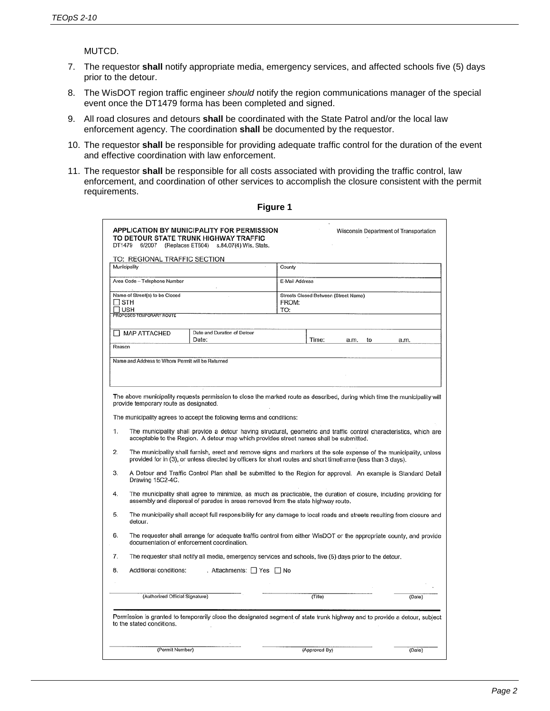MUTCD.

- 7. The requestor **shall** notify appropriate media, emergency services, and affected schools five (5) days prior to the detour.
- 8. The WisDOT region traffic engineer *should* notify the region communications manager of the special event once the DT1479 forma has been completed and signed.
- 9. All road closures and detours **shall** be coordinated with the State Patrol and/or the local law enforcement agency. The coordination **shall** be documented by the requestor.
- 10. The requestor **shall** be responsible for providing adequate traffic control for the duration of the event and effective coordination with law enforcement.
- 11. The requestor **shall** be responsible for all costs associated with providing the traffic control, law enforcement, and coordination of other services to accomplish the closure consistent with the permit requirements.

|                                                                                                                                                                                                                                                                                                                                                                                                                                                                                                                                                                                                                                                                                                                                                                                                                                                                                                                                                                                                                                                                                                                                                                                                                         |                                                                                                                                                                  | APPLICATION BY MUNICIPALITY FOR PERMISSION<br>TO DETOUR STATE TRUNK HIGHWAY TRAFFIC<br>DT1479 6/2007 (Replaces ET604) s.84.07(4) Wis. Stats. |       |                                      | Wisconsin Department of Transportation |  |
|-------------------------------------------------------------------------------------------------------------------------------------------------------------------------------------------------------------------------------------------------------------------------------------------------------------------------------------------------------------------------------------------------------------------------------------------------------------------------------------------------------------------------------------------------------------------------------------------------------------------------------------------------------------------------------------------------------------------------------------------------------------------------------------------------------------------------------------------------------------------------------------------------------------------------------------------------------------------------------------------------------------------------------------------------------------------------------------------------------------------------------------------------------------------------------------------------------------------------|------------------------------------------------------------------------------------------------------------------------------------------------------------------|----------------------------------------------------------------------------------------------------------------------------------------------|-------|--------------------------------------|----------------------------------------|--|
|                                                                                                                                                                                                                                                                                                                                                                                                                                                                                                                                                                                                                                                                                                                                                                                                                                                                                                                                                                                                                                                                                                                                                                                                                         | TO: REGIONAL TRAFFIC SECTION                                                                                                                                     |                                                                                                                                              |       |                                      |                                        |  |
|                                                                                                                                                                                                                                                                                                                                                                                                                                                                                                                                                                                                                                                                                                                                                                                                                                                                                                                                                                                                                                                                                                                                                                                                                         | Municipality                                                                                                                                                     |                                                                                                                                              |       | County                               |                                        |  |
|                                                                                                                                                                                                                                                                                                                                                                                                                                                                                                                                                                                                                                                                                                                                                                                                                                                                                                                                                                                                                                                                                                                                                                                                                         | Area Code - Telephone Number                                                                                                                                     |                                                                                                                                              |       | E-Mail Address                       |                                        |  |
| Name of Street(s) to be Closed                                                                                                                                                                                                                                                                                                                                                                                                                                                                                                                                                                                                                                                                                                                                                                                                                                                                                                                                                                                                                                                                                                                                                                                          |                                                                                                                                                                  |                                                                                                                                              |       | Streets Closed Between (Street Name) |                                        |  |
| ∏ STH                                                                                                                                                                                                                                                                                                                                                                                                                                                                                                                                                                                                                                                                                                                                                                                                                                                                                                                                                                                                                                                                                                                                                                                                                   |                                                                                                                                                                  |                                                                                                                                              | FROM: |                                      |                                        |  |
| ר ∪ט F<br>TO:<br>PROPOSED TEMPORARY ROUTE                                                                                                                                                                                                                                                                                                                                                                                                                                                                                                                                                                                                                                                                                                                                                                                                                                                                                                                                                                                                                                                                                                                                                                               |                                                                                                                                                                  |                                                                                                                                              |       |                                      |                                        |  |
|                                                                                                                                                                                                                                                                                                                                                                                                                                                                                                                                                                                                                                                                                                                                                                                                                                                                                                                                                                                                                                                                                                                                                                                                                         |                                                                                                                                                                  |                                                                                                                                              |       |                                      |                                        |  |
|                                                                                                                                                                                                                                                                                                                                                                                                                                                                                                                                                                                                                                                                                                                                                                                                                                                                                                                                                                                                                                                                                                                                                                                                                         | MAP ATTACHED                                                                                                                                                     | Date and Duration of Detour<br>Date:                                                                                                         |       | Time:<br>a.m.<br>to                  | a.m.                                   |  |
| Reason                                                                                                                                                                                                                                                                                                                                                                                                                                                                                                                                                                                                                                                                                                                                                                                                                                                                                                                                                                                                                                                                                                                                                                                                                  |                                                                                                                                                                  |                                                                                                                                              |       |                                      |                                        |  |
|                                                                                                                                                                                                                                                                                                                                                                                                                                                                                                                                                                                                                                                                                                                                                                                                                                                                                                                                                                                                                                                                                                                                                                                                                         | Name and Address to Whom Permit will be Returned                                                                                                                 |                                                                                                                                              |       |                                      |                                        |  |
|                                                                                                                                                                                                                                                                                                                                                                                                                                                                                                                                                                                                                                                                                                                                                                                                                                                                                                                                                                                                                                                                                                                                                                                                                         |                                                                                                                                                                  |                                                                                                                                              |       |                                      |                                        |  |
|                                                                                                                                                                                                                                                                                                                                                                                                                                                                                                                                                                                                                                                                                                                                                                                                                                                                                                                                                                                                                                                                                                                                                                                                                         |                                                                                                                                                                  |                                                                                                                                              |       |                                      |                                        |  |
| The above municipality requests permission to close the marked route as described, during which time the municipality will<br>provide temporary route as designated.<br>The municipality agrees to accept the following terms and conditions:<br>The municipality shall provide a detour having structural, geometric and traffic control characteristics, which are<br>1.<br>acceptable to the Region. A detour map which provides street names shall be submitted.<br>2.<br>The municipality shall furnish, erect and remove signs and markers at the sole expense of the municipality, unless<br>provided for in (3), or unless directed by officers for short routes and short timeframe (less than 3 days).<br>A Detour and Traffic Control Plan shall be submitted to the Region for approval. An example is Standard Detail<br>3.<br>Drawing 15C2-4C.<br>4.<br>The municipality shall agree to minimize, as much as practicable, the duration of closure, including providing for<br>assembly and dispersal of parades in areas removed from the state highway route.<br>5.<br>The municipality shall accept full responsibility for any damage to local roads and streets resulting from closure and<br>detour. |                                                                                                                                                                  |                                                                                                                                              |       |                                      |                                        |  |
| 6.                                                                                                                                                                                                                                                                                                                                                                                                                                                                                                                                                                                                                                                                                                                                                                                                                                                                                                                                                                                                                                                                                                                                                                                                                      | The requester shall arrange for adequate traffic control from either WisDOT or the appropriate county, and provide<br>documentation of enforcement coordination. |                                                                                                                                              |       |                                      |                                        |  |
| 7.                                                                                                                                                                                                                                                                                                                                                                                                                                                                                                                                                                                                                                                                                                                                                                                                                                                                                                                                                                                                                                                                                                                                                                                                                      | The requester shall notify all media, emergency services and schools, five (5) days prior to the detour.                                                         |                                                                                                                                              |       |                                      |                                        |  |
| 8.                                                                                                                                                                                                                                                                                                                                                                                                                                                                                                                                                                                                                                                                                                                                                                                                                                                                                                                                                                                                                                                                                                                                                                                                                      | Additional conditions:                                                                                                                                           | . Attachments: □ Yes □ No                                                                                                                    |       |                                      |                                        |  |
|                                                                                                                                                                                                                                                                                                                                                                                                                                                                                                                                                                                                                                                                                                                                                                                                                                                                                                                                                                                                                                                                                                                                                                                                                         |                                                                                                                                                                  |                                                                                                                                              |       |                                      |                                        |  |
|                                                                                                                                                                                                                                                                                                                                                                                                                                                                                                                                                                                                                                                                                                                                                                                                                                                                                                                                                                                                                                                                                                                                                                                                                         | (Authorized Official Signature)                                                                                                                                  |                                                                                                                                              |       | (Title)                              | (Date)                                 |  |
|                                                                                                                                                                                                                                                                                                                                                                                                                                                                                                                                                                                                                                                                                                                                                                                                                                                                                                                                                                                                                                                                                                                                                                                                                         |                                                                                                                                                                  |                                                                                                                                              |       |                                      |                                        |  |
|                                                                                                                                                                                                                                                                                                                                                                                                                                                                                                                                                                                                                                                                                                                                                                                                                                                                                                                                                                                                                                                                                                                                                                                                                         | to the stated conditions.                                                                                                                                        | Permission is granted to temporarily close the designated segment of state trunk highway and to provide a detour, subject                    |       |                                      |                                        |  |
|                                                                                                                                                                                                                                                                                                                                                                                                                                                                                                                                                                                                                                                                                                                                                                                                                                                                                                                                                                                                                                                                                                                                                                                                                         | (Permit Number)                                                                                                                                                  |                                                                                                                                              |       | (Approved By)                        | (Date)                                 |  |
|                                                                                                                                                                                                                                                                                                                                                                                                                                                                                                                                                                                                                                                                                                                                                                                                                                                                                                                                                                                                                                                                                                                                                                                                                         |                                                                                                                                                                  |                                                                                                                                              |       |                                      |                                        |  |

**Figure 1**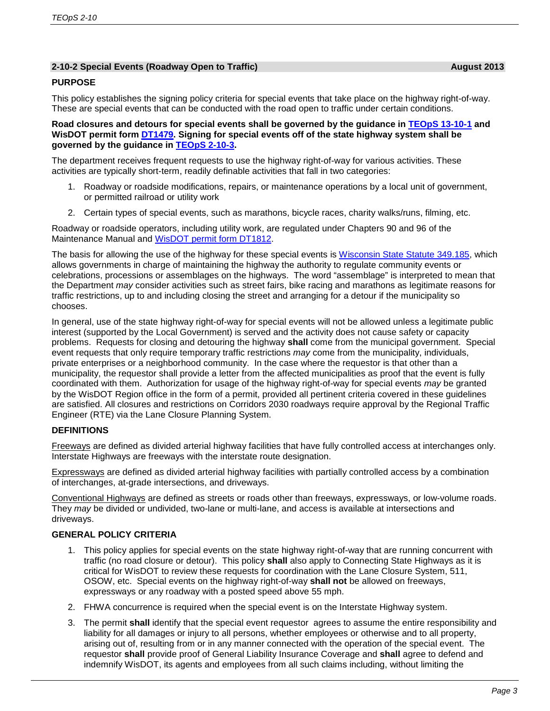### **2-10-2 Special Events (Roadway Open to Traffic) August 2013**

### **PURPOSE**

This policy establishes the signing policy criteria for special events that take place on the highway right-of-way. These are special events that can be conducted with the road open to traffic under certain conditions.

**Road closures and detours for special events shall be governed by the guidance in [TEOpS](http://wisconsindot.gov/dtsdManuals/traffic-ops/manuals-and-standards/teops/13-10.pdf) 13-10-1 and WisDOT permit form [DT1479.](http://wisconsindot.gov/Documents/formdocs/dt1479.doc) Signing for special events off of the state highway system shall be governed by the guidance in [TEOpS](http://wisconsindot.gov/dtsdManuals/traffic-ops/manuals-and-standards/teops/02-10.pdf) 2-10-3.**

The department receives frequent requests to use the highway right-of-way for various activities. These activities are typically short-term, readily definable activities that fall in two categories:

- 1. Roadway or roadside modifications, repairs, or maintenance operations by a local unit of government, or permitted railroad or utility work
- 2. Certain types of special events, such as marathons, bicycle races, charity walks/runs, filming, etc.

Roadway or roadside operators, including utility work, are regulated under Chapters 90 and 96 of the Maintenance Manual and [WisDOT permit form DT1812.](http://wisconsindot.gov/Documents/formdocs/dt1812.docx)

The basis for allowing the use of the highway for these special events is [Wisconsin State Statute 349.185,](https://docs.legis.wisconsin.gov/document/statutes/349.185) which allows governments in charge of maintaining the highway the authority to regulate community events or celebrations, processions or assemblages on the highways. The word "assemblage" is interpreted to mean that the Department *may* consider activities such as street fairs, bike racing and marathons as legitimate reasons for traffic restrictions, up to and including closing the street and arranging for a detour if the municipality so chooses.

In general, use of the state highway right-of-way for special events will not be allowed unless a legitimate public interest (supported by the Local Government) is served and the activity does not cause safety or capacity problems. Requests for closing and detouring the highway **shall** come from the municipal government. Special event requests that only require temporary traffic restrictions *may* come from the municipality, individuals, private enterprises or a neighborhood community. In the case where the requestor is that other than a municipality, the requestor shall provide a letter from the affected municipalities as proof that the event is fully coordinated with them. Authorization for usage of the highway right-of-way for special events *may* be granted by the WisDOT Region office in the form of a permit, provided all pertinent criteria covered in these guidelines are satisfied. All closures and restrictions on Corridors 2030 roadways require approval by the Regional Traffic Engineer (RTE) via the Lane Closure Planning System.

### **DEFINITIONS**

Freeways are defined as divided arterial highway facilities that have fully controlled access at interchanges only. Interstate Highways are freeways with the interstate route designation.

Expressways are defined as divided arterial highway facilities with partially controlled access by a combination of interchanges, at-grade intersections, and driveways.

Conventional Highways are defined as streets or roads other than freeways, expressways, or low-volume roads. They *may* be divided or undivided, two-lane or multi-lane, and access is available at intersections and driveways.

### **GENERAL POLICY CRITERIA**

- 1. This policy applies for special events on the state highway right-of-way that are running concurrent with traffic (no road closure or detour). This policy **shall** also apply to Connecting State Highways as it is critical for WisDOT to review these requests for coordination with the Lane Closure System, 511, OSOW, etc. Special events on the highway right-of-way **shall not** be allowed on freeways, expressways or any roadway with a posted speed above 55 mph.
- 2. FHWA concurrence is required when the special event is on the Interstate Highway system.
- 3. The permit **shall** identify that the special event requestor agrees to assume the entire responsibility and liability for all damages or injury to all persons, whether employees or otherwise and to all property, arising out of, resulting from or in any manner connected with the operation of the special event. The requestor **shall** provide proof of General Liability Insurance Coverage and **shall** agree to defend and indemnify WisDOT, its agents and employees from all such claims including, without limiting the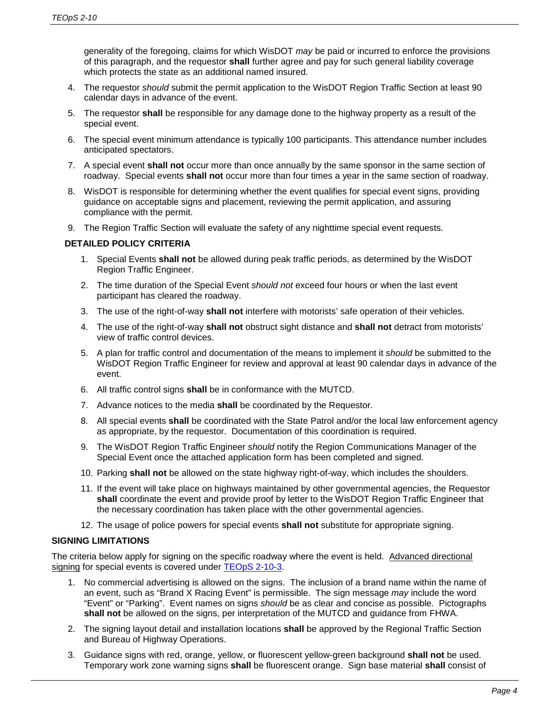generality of the foregoing, claims for which WisDOT *may* be paid or incurred to enforce the provisions of this paragraph, and the requestor **shall** further agree and pay for such general liability coverage which protects the state as an additional named insured.

- 4. The requestor *should* submit the permit application to the WisDOT Region Traffic Section at least 90 calendar days in advance of the event.
- 5. The requestor **shall** be responsible for any damage done to the highway property as a result of the special event.
- 6. The special event minimum attendance is typically 100 participants. This attendance number includes anticipated spectators.
- 7. A special event **shall not** occur more than once annually by the same sponsor in the same section of roadway. Special events **shall not** occur more than four times a year in the same section of roadway.
- 8. WisDOT is responsible for determining whether the event qualifies for special event signs, providing guidance on acceptable signs and placement, reviewing the permit application, and assuring compliance with the permit.
- 9. The Region Traffic Section will evaluate the safety of any nighttime special event requests.

### **DETAILED POLICY CRITERIA**

- 1. Special Events **shall not** be allowed during peak traffic periods, as determined by the WisDOT Region Traffic Engineer.
- 2. The time duration of the Special Event *should not* exceed four hours or when the last event participant has cleared the roadway.
- 3. The use of the right-of-way **shall not** interfere with motorists' safe operation of their vehicles.
- 4. The use of the right-of-way **shall not** obstruct sight distance and **shall not** detract from motorists' view of traffic control devices.
- 5. A plan for traffic control and documentation of the means to implement it *should* be submitted to the WisDOT Region Traffic Engineer for review and approval at least 90 calendar days in advance of the event.
- 6. All traffic control signs **shall** be in conformance with the MUTCD.
- 7. Advance notices to the media **shall** be coordinated by the Requestor.
- 8. All special events **shall** be coordinated with the State Patrol and/or the local law enforcement agency as appropriate, by the requestor. Documentation of this coordination is required.
- 9. The WisDOT Region Traffic Engineer *should* notify the Region Communications Manager of the Special Event once the attached application form has been completed and signed.
- 10. Parking **shall not** be allowed on the state highway right-of-way, which includes the shoulders.
- 11. If the event will take place on highways maintained by other governmental agencies, the Requestor **shall** coordinate the event and provide proof by letter to the WisDOT Region Traffic Engineer that the necessary coordination has taken place with the other governmental agencies.
- 12. The usage of police powers for special events **shall not** substitute for appropriate signing.

### **SIGNING LIMITATIONS**

The criteria below apply for signing on the specific roadway where the event is held. Advanced directional signing for special events is covered under [TEOpS](http://wisconsindot.gov/dtsdManuals/traffic-ops/manuals-and-standards/teops/02-10.pdf) 2-10-3.

- 1. No commercial advertising is allowed on the signs. The inclusion of a brand name within the name of an event, such as "Brand X Racing Event" is permissible. The sign message *may* include the word "Event" or "Parking". Event names on signs *should* be as clear and concise as possible. Pictographs **shall not** be allowed on the signs, per interpretation of the MUTCD and guidance from FHWA.
- 2. The signing layout detail and installation locations **shall** be approved by the Regional Traffic Section and Bureau of Highway Operations.
- 3. Guidance signs with red, orange, yellow, or fluorescent yellow-green background **shall not** be used. Temporary work zone warning signs **shall** be fluorescent orange. Sign base material **shall** consist of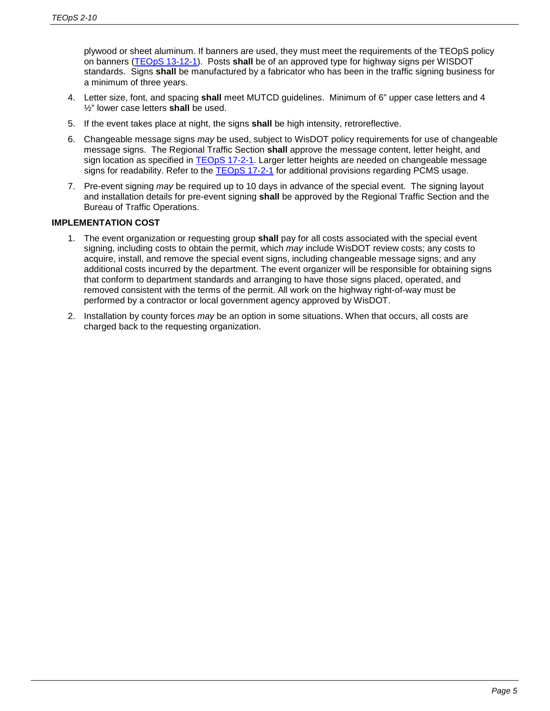plywood or sheet aluminum. If banners are used, they must meet the requirements of the TEOpS policy on banners (TEOpS [13-12-1\)](http://wisconsindot.gov/dtsdManuals/traffic-ops/manuals-and-standards/teops/13-12.pdf). Posts **shall** be of an approved type for highway signs per WISDOT standards. Signs **shall** be manufactured by a fabricator who has been in the traffic signing business for a minimum of three years.

- 4. Letter size, font, and spacing **shall** meet MUTCD guidelines. Minimum of 6" upper case letters and 4 ½" lower case letters **shall** be used.
- 5. If the event takes place at night, the signs **shall** be high intensity, retroreflective.
- 6. Changeable message signs *may* be used, subject to WisDOT policy requirements for use of changeable message signs. The Regional Traffic Section **shall** approve the message content, letter height, and sign location as specified in [TEOpS](http://wisconsindot.gov/dtsdManuals/traffic-ops/manuals-and-standards/teops/17-02.pdf) 17-2-1. Larger letter heights are needed on changeable message signs for readability. Refer to the [TEOpS](http://wisconsindot.gov/dtsdManuals/traffic-ops/manuals-and-standards/teops/17-02.pdf) 17-2-1 for additional provisions regarding PCMS usage.
- 7. Pre-event signing *may* be required up to 10 days in advance of the special event. The signing layout and installation details for pre-event signing **shall** be approved by the Regional Traffic Section and the Bureau of Traffic Operations.

### **IMPLEMENTATION COST**

- 1. The event organization or requesting group **shall** pay for all costs associated with the special event signing, including costs to obtain the permit, which *may* include WisDOT review costs; any costs to acquire, install, and remove the special event signs, including changeable message signs; and any additional costs incurred by the department. The event organizer will be responsible for obtaining signs that conform to department standards and arranging to have those signs placed, operated, and removed consistent with the terms of the permit. All work on the highway right-of-way must be performed by a contractor or local government agency approved by WisDOT.
- 2. Installation by county forces *may* be an option in some situations. When that occurs, all costs are charged back to the requesting organization.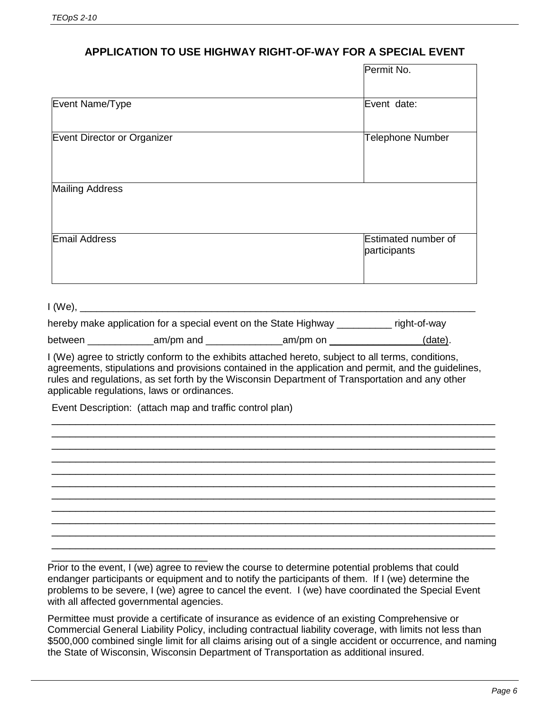# **APPLICATION TO USE HIGHWAY RIGHT-OF-WAY FOR A SPECIAL EVENT**

|                                                                            | Permit No.              |
|----------------------------------------------------------------------------|-------------------------|
|                                                                            |                         |
| Event Name/Type                                                            | Event date:             |
| Event Director or Organizer                                                | <b>Telephone Number</b> |
|                                                                            |                         |
|                                                                            |                         |
| <b>Mailing Address</b>                                                     |                         |
|                                                                            |                         |
| Email Address                                                              | Estimated number of     |
|                                                                            | participants            |
|                                                                            |                         |
|                                                                            |                         |
|                                                                            |                         |
| hereby make application for a special event on the State Highway _________ | right-of-way            |

| between | am/pm and | am/pm on | 'date) |
|---------|-----------|----------|--------|
|         |           |          |        |

I (We) agree to strictly conform to the exhibits attached hereto, subject to all terms, conditions, agreements, stipulations and provisions contained in the application and permit, and the guidelines, rules and regulations, as set forth by the Wisconsin Department of Transportation and any other applicable regulations, laws or ordinances.

\_\_\_\_\_\_\_\_\_\_\_\_\_\_\_\_\_\_\_\_\_\_\_\_\_\_\_\_\_\_\_\_\_\_\_\_\_\_\_\_\_\_\_\_\_\_\_\_\_\_\_\_\_\_\_\_\_\_\_\_\_\_\_\_\_\_\_\_\_\_\_\_\_\_ \_\_\_\_\_\_\_\_\_\_\_\_\_\_\_\_\_\_\_\_\_\_\_\_\_\_\_\_\_\_\_\_\_\_\_\_\_\_\_\_\_\_\_\_\_\_\_\_\_\_\_\_\_\_\_\_\_\_\_\_\_\_\_\_\_\_\_\_\_\_\_\_\_\_ \_\_\_\_\_\_\_\_\_\_\_\_\_\_\_\_\_\_\_\_\_\_\_\_\_\_\_\_\_\_\_\_\_\_\_\_\_\_\_\_\_\_\_\_\_\_\_\_\_\_\_\_\_\_\_\_\_\_\_\_\_\_\_\_\_\_\_\_\_\_\_\_\_\_ \_\_\_\_\_\_\_\_\_\_\_\_\_\_\_\_\_\_\_\_\_\_\_\_\_\_\_\_\_\_\_\_\_\_\_\_\_\_\_\_\_\_\_\_\_\_\_\_\_\_\_\_\_\_\_\_\_\_\_\_\_\_\_\_\_\_\_\_\_\_\_\_\_\_ \_\_\_\_\_\_\_\_\_\_\_\_\_\_\_\_\_\_\_\_\_\_\_\_\_\_\_\_\_\_\_\_\_\_\_\_\_\_\_\_\_\_\_\_\_\_\_\_\_\_\_\_\_\_\_\_\_\_\_\_\_\_\_\_\_\_\_\_\_\_\_\_\_\_ \_\_\_\_\_\_\_\_\_\_\_\_\_\_\_\_\_\_\_\_\_\_\_\_\_\_\_\_\_\_\_\_\_\_\_\_\_\_\_\_\_\_\_\_\_\_\_\_\_\_\_\_\_\_\_\_\_\_\_\_\_\_\_\_\_\_\_\_\_\_\_\_\_\_ \_\_\_\_\_\_\_\_\_\_\_\_\_\_\_\_\_\_\_\_\_\_\_\_\_\_\_\_\_\_\_\_\_\_\_\_\_\_\_\_\_\_\_\_\_\_\_\_\_\_\_\_\_\_\_\_\_\_\_\_\_\_\_\_\_\_\_\_\_\_\_\_\_\_ \_\_\_\_\_\_\_\_\_\_\_\_\_\_\_\_\_\_\_\_\_\_\_\_\_\_\_\_\_\_\_\_\_\_\_\_\_\_\_\_\_\_\_\_\_\_\_\_\_\_\_\_\_\_\_\_\_\_\_\_\_\_\_\_\_\_\_\_\_\_\_\_\_\_ \_\_\_\_\_\_\_\_\_\_\_\_\_\_\_\_\_\_\_\_\_\_\_\_\_\_\_\_\_\_\_\_\_\_\_\_\_\_\_\_\_\_\_\_\_\_\_\_\_\_\_\_\_\_\_\_\_\_\_\_\_\_\_\_\_\_\_\_\_\_\_\_\_\_ \_\_\_\_\_\_\_\_\_\_\_\_\_\_\_\_\_\_\_\_\_\_\_\_\_\_\_\_\_\_\_\_\_\_\_\_\_\_\_\_\_\_\_\_\_\_\_\_\_\_\_\_\_\_\_\_\_\_\_\_\_\_\_\_\_\_\_\_\_\_\_\_\_\_ \_\_\_\_\_\_\_\_\_\_\_\_\_\_\_\_\_\_\_\_\_\_\_\_\_\_\_\_\_\_\_\_\_\_\_\_\_\_\_\_\_\_\_\_\_\_\_\_\_\_\_\_\_\_\_\_\_\_\_\_\_\_\_\_\_\_\_\_\_\_\_\_\_\_

Event Description: (attach map and traffic control plan)

\_\_\_\_\_\_\_\_\_\_\_\_\_\_\_\_\_\_\_\_\_\_\_\_\_\_ Prior to the event, I (we) agree to review the course to determine potential problems that could endanger participants or equipment and to notify the participants of them. If I (we) determine the problems to be severe, I (we) agree to cancel the event. I (we) have coordinated the Special Event with all affected governmental agencies.

Permittee must provide a certificate of insurance as evidence of an existing Comprehensive or Commercial General Liability Policy, including contractual liability coverage, with limits not less than \$500,000 combined single limit for all claims arising out of a single accident or occurrence, and naming the State of Wisconsin, Wisconsin Department of Transportation as additional insured.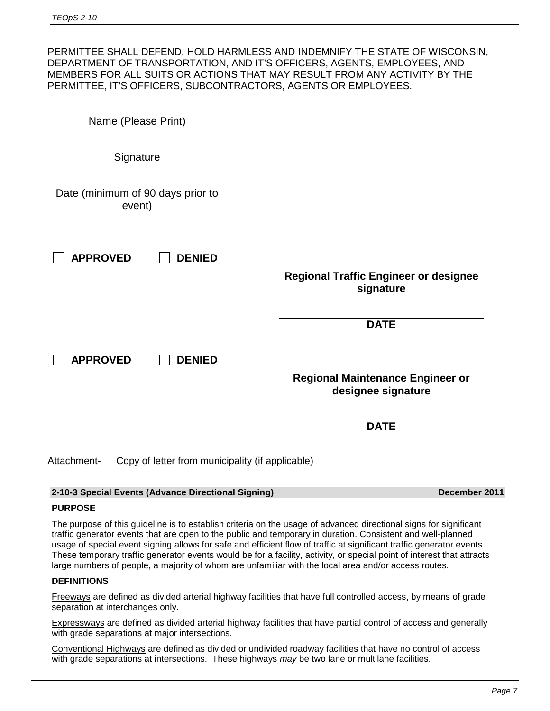PERMITTEE SHALL DEFEND, HOLD HARMLESS AND INDEMNIFY THE STATE OF WISCONSIN, DEPARTMENT OF TRANSPORTATION, AND IT'S OFFICERS, AGENTS, EMPLOYEES, AND MEMBERS FOR ALL SUITS OR ACTIONS THAT MAY RESULT FROM ANY ACTIVITY BY THE PERMITTEE, IT'S OFFICERS, SUBCONTRACTORS, AGENTS OR EMPLOYEES.

| Name (Please Print)                                             |                                                               |
|-----------------------------------------------------------------|---------------------------------------------------------------|
| Signature                                                       |                                                               |
| Date (minimum of 90 days prior to<br>event)                     |                                                               |
| <b>APPROVED</b><br><b>DENIED</b>                                | <b>Regional Traffic Engineer or designee</b><br>signature     |
|                                                                 | <b>DATE</b>                                                   |
| <b>APPROVED</b><br><b>DENIED</b>                                |                                                               |
|                                                                 | <b>Regional Maintenance Engineer or</b><br>designee signature |
|                                                                 | <b>DATE</b>                                                   |
| Copy of letter from municipality (if applicable)<br>Attachment- |                                                               |

### **2-10-3 Special Events (Advance Directional Signing) December 2011**

### **PURPOSE**

The purpose of this guideline is to establish criteria on the usage of advanced directional signs for significant traffic generator events that are open to the public and temporary in duration. Consistent and well-planned usage of special event signing allows for safe and efficient flow of traffic at significant traffic generator events. These temporary traffic generator events would be for a facility, activity, or special point of interest that attracts large numbers of people, a majority of whom are unfamiliar with the local area and/or access routes.

### **DEFINITIONS**

Freeways are defined as divided arterial highway facilities that have full controlled access, by means of grade separation at interchanges only.

Expressways are defined as divided arterial highway facilities that have partial control of access and generally with grade separations at major intersections.

Conventional Highways are defined as divided or undivided roadway facilities that have no control of access with grade separations at intersections. These highways *may* be two lane or multilane facilities.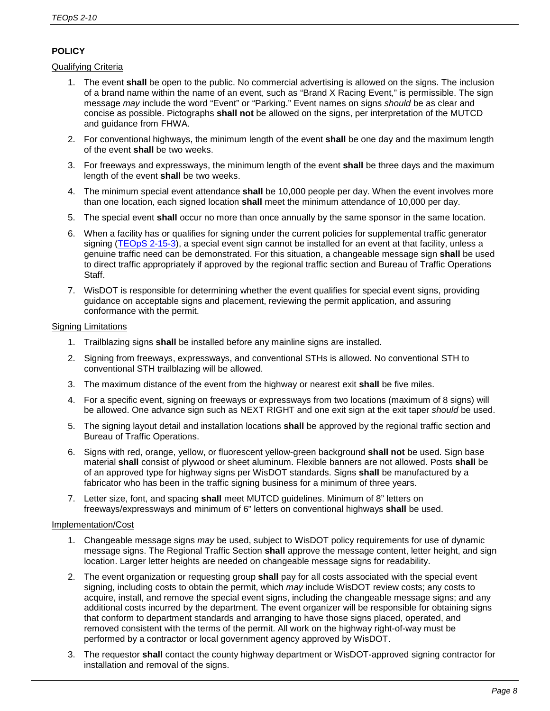## **POLICY**

### Qualifying Criteria

- 1. The event **shall** be open to the public. No commercial advertising is allowed on the signs. The inclusion of a brand name within the name of an event, such as "Brand X Racing Event," is permissible. The sign message *may* include the word "Event" or "Parking." Event names on signs *should* be as clear and concise as possible. Pictographs **shall not** be allowed on the signs, per interpretation of the MUTCD and guidance from FHWA.
- 2. For conventional highways, the minimum length of the event **shall** be one day and the maximum length of the event **shall** be two weeks.
- 3. For freeways and expressways, the minimum length of the event **shall** be three days and the maximum length of the event **shall** be two weeks.
- 4. The minimum special event attendance **shall** be 10,000 people per day. When the event involves more than one location, each signed location **shall** meet the minimum attendance of 10,000 per day.
- 5. The special event **shall** occur no more than once annually by the same sponsor in the same location.
- 6. When a facility has or qualifies for signing under the current policies for supplemental traffic generator signing [\(TEOpS](http://wisconsindot.gov/dtsdManuals/traffic-ops/manuals-and-standards/teops/02-15.pdf) 2-15-3), a special event sign cannot be installed for an event at that facility, unless a genuine traffic need can be demonstrated. For this situation, a changeable message sign **shall** be used to direct traffic appropriately if approved by the regional traffic section and Bureau of Traffic Operations Staff.
- 7. WisDOT is responsible for determining whether the event qualifies for special event signs, providing guidance on acceptable signs and placement, reviewing the permit application, and assuring conformance with the permit.

### Signing Limitations

- 1. Trailblazing signs **shall** be installed before any mainline signs are installed.
- 2. Signing from freeways, expressways, and conventional STHs is allowed. No conventional STH to conventional STH trailblazing will be allowed.
- 3. The maximum distance of the event from the highway or nearest exit **shall** be five miles.
- 4. For a specific event, signing on freeways or expressways from two locations (maximum of 8 signs) will be allowed. One advance sign such as NEXT RIGHT and one exit sign at the exit taper *should* be used.
- 5. The signing layout detail and installation locations **shall** be approved by the regional traffic section and Bureau of Traffic Operations.
- 6. Signs with red, orange, yellow, or fluorescent yellow-green background **shall not** be used. Sign base material **shall** consist of plywood or sheet aluminum. Flexible banners are not allowed. Posts **shall** be of an approved type for highway signs per WisDOT standards. Signs **shall** be manufactured by a fabricator who has been in the traffic signing business for a minimum of three years.
- 7. Letter size, font, and spacing **shall** meet MUTCD guidelines. Minimum of 8" letters on freeways/expressways and minimum of 6" letters on conventional highways **shall** be used.

### Implementation/Cost

- 1. Changeable message signs *may* be used, subject to WisDOT policy requirements for use of dynamic message signs. The Regional Traffic Section **shall** approve the message content, letter height, and sign location. Larger letter heights are needed on changeable message signs for readability.
- 2. The event organization or requesting group **shall** pay for all costs associated with the special event signing, including costs to obtain the permit, which *may* include WisDOT review costs; any costs to acquire, install, and remove the special event signs, including the changeable message signs; and any additional costs incurred by the department. The event organizer will be responsible for obtaining signs that conform to department standards and arranging to have those signs placed, operated, and removed consistent with the terms of the permit. All work on the highway right-of-way must be performed by a contractor or local government agency approved by WisDOT.
- 3. The requestor **shall** contact the county highway department or WisDOT-approved signing contractor for installation and removal of the signs.